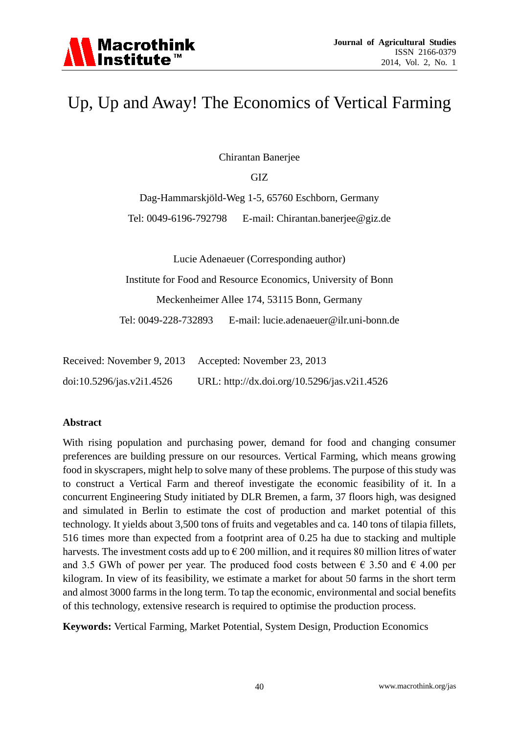# Up, Up and Away! The Economics of Vertical Farming

Chirantan Banerjee

GIZ

Dag-Hammarskjöld-Weg 1-5, 65760 Eschborn, Germany Tel: 0049-6196-792798 E-mail: Chirantan.banerjee@giz.de

Lucie Adenaeuer (Corresponding author)

Institute for Food and Resource Economics, University of Bonn

Meckenheimer Allee 174, 53115 Bonn, Germany

Tel: 0049-228-732893 E-mail: lucie.adenaeuer@ilr.uni-bonn.de

| Received: November 9, 2013 | Accepted: November 23, 2013                  |
|----------------------------|----------------------------------------------|
| doi:10.5296/jas.v2i1.4526  | URL: http://dx.doi.org/10.5296/jas.v2i1.4526 |

# **Abstract**

With rising population and purchasing power, demand for food and changing consumer preferences are building pressure on our resources. Vertical Farming, which means growing food in skyscrapers, might help to solve many of these problems. The purpose of this study was to construct a Vertical Farm and thereof investigate the economic feasibility of it. In a concurrent Engineering Study initiated by DLR Bremen, a farm, 37 floors high, was designed and simulated in Berlin to estimate the cost of production and market potential of this technology. It yields about 3,500 tons of fruits and vegetables and ca. 140 tons of tilapia fillets, 516 times more than expected from a footprint area of 0.25 ha due to stacking and multiple harvests. The investment costs add up to  $\epsilon$  200 million, and it requires 80 million litres of water and 3.5 GWh of power per year. The produced food costs between  $\epsilon$  3.50 and  $\epsilon$  4.00 per kilogram. In view of its feasibility, we estimate a market for about 50 farms in the short term and almost 3000 farms in the long term. To tap the economic, environmental and social benefits of this technology, extensive research is required to optimise the production process.

**Keywords:** Vertical Farming, Market Potential, System Design, Production Economics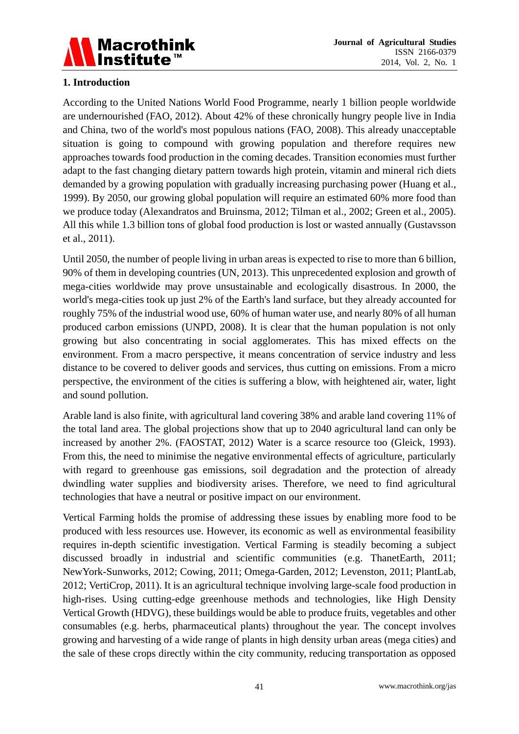

# **1. Introduction**

According to the United Nations World Food Programme, nearly 1 billion people worldwide are undernourished (FAO, 2012). About 42% of these chronically hungry people live in India and China, two of the world's most populous nations (FAO, 2008). This already unacceptable situation is going to compound with growing population and therefore requires new approaches towards food production in the coming decades. Transition economies must further adapt to the fast changing dietary pattern towards high protein, vitamin and mineral rich diets demanded by a growing population with gradually increasing purchasing power (Huang et al., 1999). By 2050, our growing global population will require an estimated 60% more food than we produce today (Alexandratos and Bruinsma, 2012; Tilman et al., 2002; Green et al., 2005). All this while 1.3 billion tons of global food production is lost or wasted annually (Gustavsson et al., 2011).

Until 2050, the number of people living in urban areas is expected to rise to more than 6 billion, 90% of them in developing countries (UN, 2013). This unprecedented explosion and growth of mega-cities worldwide may prove unsustainable and ecologically disastrous. In 2000, the world's mega-cities took up just 2% of the Earth's land surface, but they already accounted for roughly 75% of the industrial wood use, 60% of human water use, and nearly 80% of all human produced carbon emissions (UNPD, 2008). It is clear that the human population is not only growing but also concentrating in social agglomerates. This has mixed effects on the environment. From a macro perspective, it means concentration of service industry and less distance to be covered to deliver goods and services, thus cutting on emissions. From a micro perspective, the environment of the cities is suffering a blow, with heightened air, water, light and sound pollution.

Arable land is also finite, with agricultural land covering 38% and arable land covering 11% of the total land area. The global projections show that up to 2040 agricultural land can only be increased by another 2%. (FAOSTAT, 2012) Water is a scarce resource too (Gleick, 1993). From this, the need to minimise the negative environmental effects of agriculture, particularly with regard to greenhouse gas emissions, soil degradation and the protection of already dwindling water supplies and biodiversity arises. Therefore, we need to find agricultural technologies that have a neutral or positive impact on our environment.

Vertical Farming holds the promise of addressing these issues by enabling more food to be produced with less resources use. However, its economic as well as environmental feasibility requires in-depth scientific investigation. Vertical Farming is steadily becoming a subject discussed broadly in industrial and scientific communities (e.g. ThanetEarth, 2011; NewYork-Sunworks, 2012; Cowing, 2011; Omega-Garden, 2012; Levenston, 2011; PlantLab, 2012; VertiCrop, 2011). It is an agricultural technique involving large-scale food production in high-rises. Using cutting-edge greenhouse methods and technologies, like High Density Vertical Growth (HDVG), these buildings would be able to produce fruits, vegetables and other consumables (e.g. herbs, pharmaceutical plants) throughout the year. The concept involves growing and harvesting of a wide range of plants in high density urban areas (mega cities) and the sale of these crops directly within the city community, reducing transportation as opposed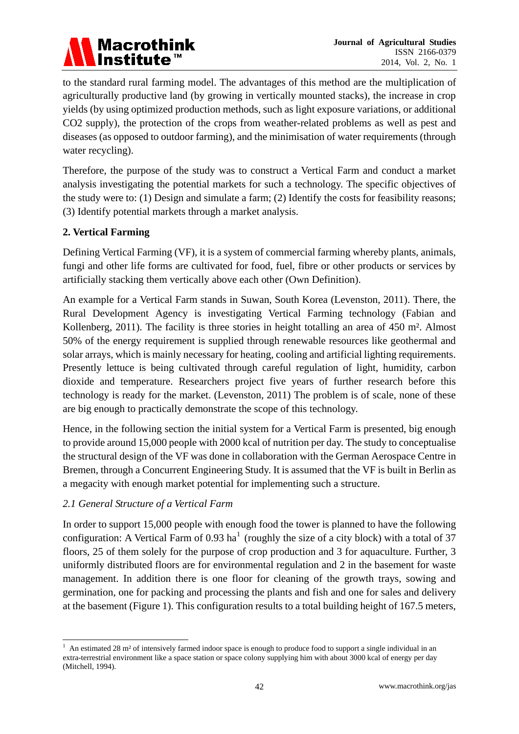# Macrothink<br>Institute™

to the standard rural farming model. The advantages of this method are the multiplication of agriculturally productive land (by growing in vertically mounted stacks), the increase in crop yields (by using optimized production methods, such as light exposure variations, or additional CO2 supply), the protection of the crops from weather-related problems as well as pest and diseases (as opposed to outdoor farming), and the minimisation of water requirements (through water recycling).

Therefore, the purpose of the study was to construct a Vertical Farm and conduct a market analysis investigating the potential markets for such a technology. The specific objectives of the study were to: (1) Design and simulate a farm; (2) Identify the costs for feasibility reasons; (3) Identify potential markets through a market analysis.

# **2. Vertical Farming**

Defining Vertical Farming (VF), it is a system of commercial farming whereby plants, animals, fungi and other life forms are cultivated for food, fuel, fibre or other products or services by artificially stacking them vertically above each other (Own Definition).

An example for a Vertical Farm stands in Suwan, South Korea (Levenston, 2011). There, the Rural Development Agency is investigating Vertical Farming technology (Fabian and Kollenberg, 2011). The facility is three stories in height totalling an area of 450 m<sup>2</sup>. Almost 50% of the energy requirement is supplied through renewable resources like geothermal and solar arrays, which is mainly necessary for heating, cooling and artificial lighting requirements. Presently lettuce is being cultivated through careful regulation of light, humidity, carbon dioxide and temperature. Researchers project five years of further research before this technology is ready for the market. (Levenston, 2011) The problem is of scale, none of these are big enough to practically demonstrate the scope of this technology.

Hence, in the following section the initial system for a Vertical Farm is presented, big enough to provide around 15,000 people with 2000 kcal of nutrition per day. The study to conceptualise the structural design of the VF was done in collaboration with the German Aerospace Centre in Bremen, through a Concurrent Engineering Study. It is assumed that the VF is built in Berlin as a megacity with enough market potential for implementing such a structure.

# *2.1 General Structure of a Vertical Farm*

In order to support 15,000 people with enough food the tower is planned to have the following configuration: A Vertical Farm of 0.93 ha<sup>1</sup> (roughly the size of a city block) with a total of 37 floors, 25 of them solely for the purpose of crop production and 3 for aquaculture. Further, 3 uniformly distributed floors are for environmental regulation and 2 in the basement for waste management. In addition there is one floor for cleaning of the growth trays, sowing and germination, one for packing and processing the plants and fish and one for sales and delivery at the basement (Figure 1). This configuration results to a total building height of 167.5 meters,

<sup>-</sup> $1$  An estimated 28 m  $26$  intensively farmed indoor space is enough to produce food to support a single individual in an extra-terrestrial environment like a space station or space colony supplying him with about 3000 kcal of energy per day (Mitchell, 1994).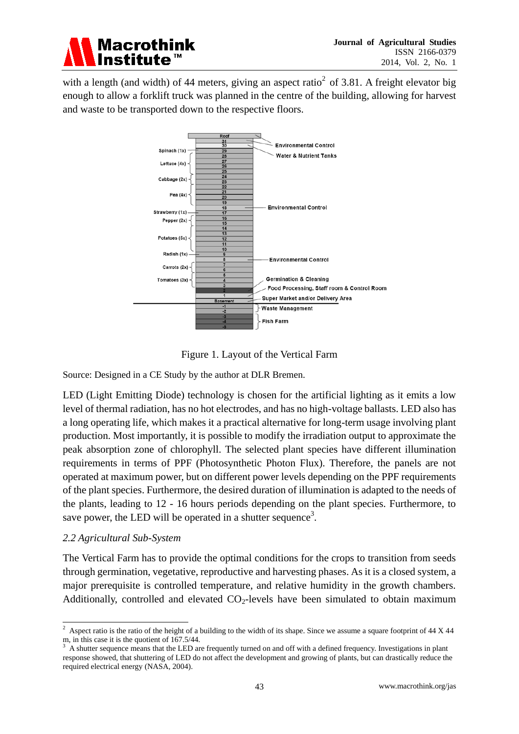

with a length (and width) of 44 meters, giving an aspect ratio<sup>2</sup> of 3.81. A freight elevator big enough to allow a forklift truck was planned in the centre of the building, allowing for harvest and waste to be transported down to the respective floors.





Source: Designed in a CE Study by the author at DLR Bremen.

LED (Light Emitting Diode) technology is chosen for the artificial lighting as it emits a low level of thermal radiation, has no hot electrodes, and has no high-voltage ballasts. LED also has a long operating life, which makes it a practical alternative for long-term usage involving plant production. Most importantly, it is possible to modify the irradiation output to approximate the peak absorption zone of chlorophyll. The selected plant species have different illumination requirements in terms of PPF (Photosynthetic Photon Flux). Therefore, the panels are not operated at maximum power, but on different power levels depending on the PPF requirements of the plant species. Furthermore, the desired duration of illumination is adapted to the needs of the plants, leading to 12 - 16 hours periods depending on the plant species. Furthermore, to save power, the LED will be operated in a shutter sequence<sup>3</sup>.

# *2.2 Agricultural Sub-System*

-

The Vertical Farm has to provide the optimal conditions for the crops to transition from seeds through germination, vegetative, reproductive and harvesting phases. As it is a closed system, a major prerequisite is controlled temperature, and relative humidity in the growth chambers. Additionally, controlled and elevated  $CO<sub>2</sub>$ -levels have been simulated to obtain maximum

<sup>2</sup> Aspect ratio is the ratio of the height of a building to the width of its shape. Since we assume a square footprint of 44 X 44 m, in this case it is the quotient of 167.5/44.<br> $\frac{3}{4}$ .

<sup>3</sup> A shutter sequence means that the LED are frequently turned on and off with a defined frequency. Investigations in plant response showed, that shuttering of LED do not affect the development and growing of plants, but can drastically reduce the required electrical energy (NASA, 2004).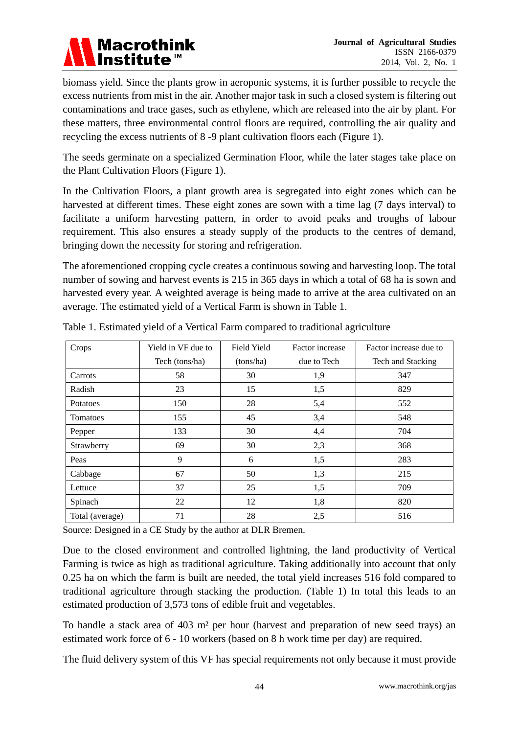

biomass yield. Since the plants grow in aeroponic systems, it is further possible to recycle the excess nutrients from mist in the air. Another major task in such a closed system is filtering out contaminations and trace gases, such as ethylene, which are released into the air by plant. For these matters, three environmental control floors are required, controlling the air quality and recycling the excess nutrients of 8 -9 plant cultivation floors each (Figure 1).

The seeds germinate on a specialized Germination Floor, while the later stages take place on the Plant Cultivation Floors (Figure 1).

In the Cultivation Floors, a plant growth area is segregated into eight zones which can be harvested at different times. These eight zones are sown with a time lag (7 days interval) to facilitate a uniform harvesting pattern, in order to avoid peaks and troughs of labour requirement. This also ensures a steady supply of the products to the centres of demand, bringing down the necessity for storing and refrigeration.

The aforementioned cropping cycle creates a continuous sowing and harvesting loop. The total number of sowing and harvest events is 215 in 365 days in which a total of 68 ha is sown and harvested every year. A weighted average is being made to arrive at the area cultivated on an average. The estimated yield of a Vertical Farm is shown in Table 1.

| Crops           | Yield in VF due to | <b>Field Yield</b> | Factor increase | Factor increase due to |
|-----------------|--------------------|--------------------|-----------------|------------------------|
|                 | Tech (tons/ha)     | (tons/ha)          | due to Tech     | Tech and Stacking      |
| Carrots         | 58                 | 30                 | 1,9             | 347                    |
| Radish          | 23                 | 15                 | 1,5             | 829                    |
| Potatoes        | 150                | 28                 | 5,4             | 552                    |
| Tomatoes        | 155                | 45                 | 3,4             | 548                    |
| Pepper          | 133                | 30                 | 4,4             | 704                    |
| Strawberry      | 69                 | 30                 | 2,3             | 368                    |
| Peas            | 9                  | 6                  | 1,5             | 283                    |
| Cabbage         | 67                 | 50                 | 1,3             | 215                    |
| Lettuce         | 37                 | 25                 | 1,5             | 709                    |
| Spinach         | 22                 | 12                 | 1,8             | 820                    |
| Total (average) | 71                 | 28                 | 2,5             | 516                    |

Table 1. Estimated yield of a Vertical Farm compared to traditional agriculture

Source: Designed in a CE Study by the author at DLR Bremen.

Due to the closed environment and controlled lightning, the land productivity of Vertical Farming is twice as high as traditional agriculture. Taking additionally into account that only 0.25 ha on which the farm is built are needed, the total yield increases 516 fold compared to traditional agriculture through stacking the production. (Table 1) In total this leads to an estimated production of 3,573 tons of edible fruit and vegetables.

To handle a stack area of 403 m² per hour (harvest and preparation of new seed trays) an estimated work force of 6 - 10 workers (based on 8 h work time per day) are required.

The fluid delivery system of this VF has special requirements not only because it must provide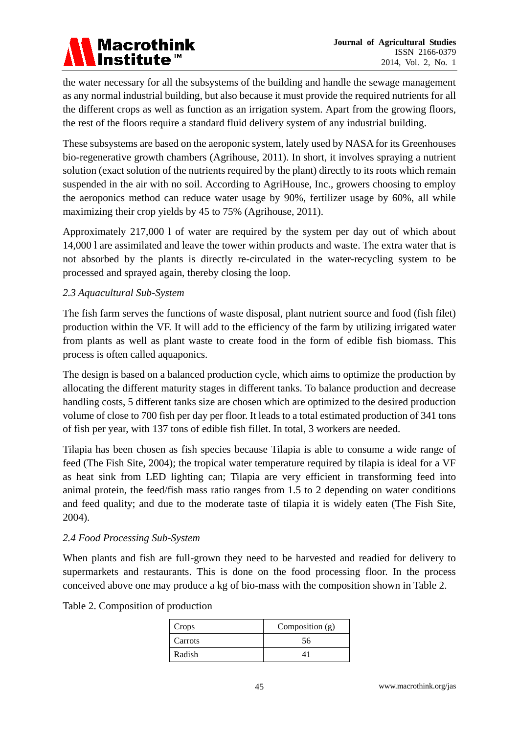

the water necessary for all the subsystems of the building and handle the sewage management as any normal industrial building, but also because it must provide the required nutrients for all the different crops as well as function as an irrigation system. Apart from the growing floors, the rest of the floors require a standard fluid delivery system of any industrial building.

These subsystems are based on the aeroponic system, lately used by NASA for its Greenhouses bio-regenerative growth chambers (Agrihouse, 2011). In short, it involves spraying a nutrient solution (exact solution of the nutrients required by the plant) directly to its roots which remain suspended in the air with no soil. According to AgriHouse, Inc., growers choosing to employ the aeroponics method can reduce water usage by 90%, fertilizer usage by 60%, all while maximizing their crop yields by 45 to 75% (Agrihouse, 2011).

Approximately 217,000 l of water are required by the system per day out of which about 14,000 l are assimilated and leave the tower within products and waste. The extra water that is not absorbed by the plants is directly re-circulated in the water-recycling system to be processed and sprayed again, thereby closing the loop.

#### *2.3 Aquacultural Sub-System*

The fish farm serves the functions of waste disposal, plant nutrient source and food (fish filet) production within the VF. It will add to the efficiency of the farm by utilizing irrigated water from plants as well as plant waste to create food in the form of edible fish biomass. This process is often called aquaponics.

The design is based on a balanced production cycle, which aims to optimize the production by allocating the different maturity stages in different tanks. To balance production and decrease handling costs, 5 different tanks size are chosen which are optimized to the desired production volume of close to 700 fish per day per floor. It leads to a total estimated production of 341 tons of fish per year, with 137 tons of edible fish fillet. In total, 3 workers are needed.

Tilapia has been chosen as fish species because Tilapia is able to consume a wide range of feed (The Fish Site, 2004); the tropical water temperature required by tilapia is ideal for a VF as heat sink from LED lighting can; Tilapia are very efficient in transforming feed into animal protein, the feed/fish mass ratio ranges from 1.5 to 2 depending on water conditions and feed quality; and due to the moderate taste of tilapia it is widely eaten (The Fish Site, 2004).

#### *2.4 Food Processing Sub-System*

When plants and fish are full-grown they need to be harvested and readied for delivery to supermarkets and restaurants. This is done on the food processing floor. In the process conceived above one may produce a kg of bio-mass with the composition shown in Table 2.

Table 2. Composition of production

| Crops   | Composition $(g)$ |
|---------|-------------------|
| Carrots | 56                |
| Radish  |                   |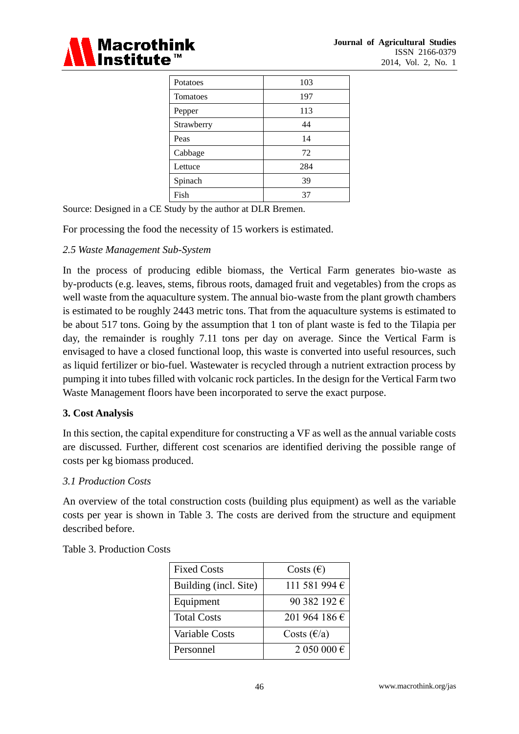

| Potatoes   | 103 |
|------------|-----|
| Tomatoes   | 197 |
| Pepper     | 113 |
| Strawberry | 44  |
| Peas       | 14  |
| Cabbage    | 72  |
| Lettuce    | 284 |
| Spinach    | 39  |
| Fish       | 37  |

Source: Designed in a CE Study by the author at DLR Bremen.

For processing the food the necessity of 15 workers is estimated.

#### *2.5 Waste Management Sub-System*

In the process of producing edible biomass, the Vertical Farm generates bio-waste as by-products (e.g. leaves, stems, fibrous roots, damaged fruit and vegetables) from the crops as well waste from the aquaculture system. The annual bio-waste from the plant growth chambers is estimated to be roughly 2443 metric tons. That from the aquaculture systems is estimated to be about 517 tons. Going by the assumption that 1 ton of plant waste is fed to the Tilapia per day, the remainder is roughly 7.11 tons per day on average. Since the Vertical Farm is envisaged to have a closed functional loop, this waste is converted into useful resources, such as liquid fertilizer or bio-fuel. Wastewater is recycled through a nutrient extraction process by pumping it into tubes filled with volcanic rock particles. In the design for the Vertical Farm two Waste Management floors have been incorporated to serve the exact purpose.

# **3. Cost Analysis**

In this section, the capital expenditure for constructing a VF as well as the annual variable costs are discussed. Further, different cost scenarios are identified deriving the possible range of costs per kg biomass produced.

#### *3.1 Production Costs*

An overview of the total construction costs (building plus equipment) as well as the variable costs per year is shown in Table 3. The costs are derived from the structure and equipment described before.

| <b>Fixed Costs</b>    | Costs $(\epsilon)$   |
|-----------------------|----------------------|
| Building (incl. Site) | 111 581 994 €        |
| Equipment             | 90 382 192 €         |
| <b>Total Costs</b>    | 201 964 186 €        |
| <b>Variable Costs</b> | Costs $(\epsilon/a)$ |
| Personnel             | 2 050 000 €          |

Table 3. Production Costs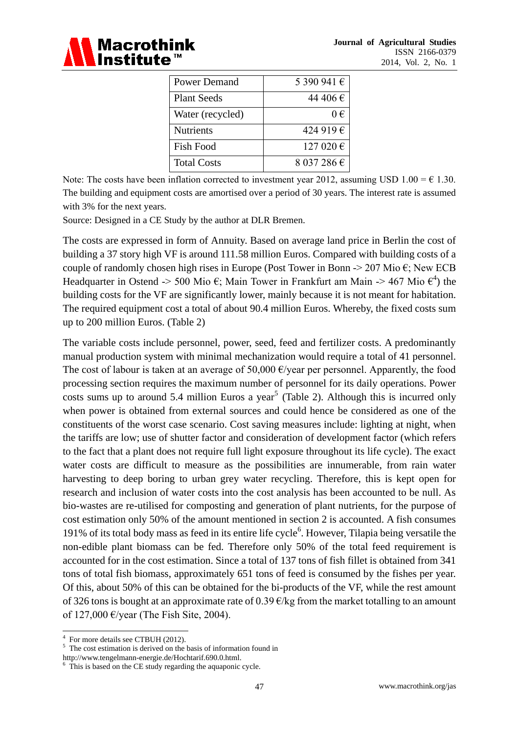

| Power Demand       | 5 390 941 € |
|--------------------|-------------|
| <b>Plant Seeds</b> | 44 406 €    |
| Water (recycled)   | 0€          |
| <b>Nutrients</b>   | 424 919€    |
| <b>Fish Food</b>   | 127 020 €   |
| <b>Total Costs</b> | 8 037 286 € |

Note: The costs have been inflation corrected to investment year 2012, assuming USD 1.00 =  $\epsilon$  1.30. The building and equipment costs are amortised over a period of 30 years. The interest rate is assumed with 3% for the next years.

Source: Designed in a CE Study by the author at DLR Bremen.

The costs are expressed in form of Annuity. Based on average land price in Berlin the cost of building a 37 story high VF is around 111.58 million Euros. Compared with building costs of a couple of randomly chosen high rises in Europe (Post Tower in Bonn  $\geq 207$  Mio  $\epsilon$ ; New ECB Headquarter in Ostend -> 500 Mio  $\epsilon$ ; Main Tower in Frankfurt am Main -> 467 Mio  $\epsilon^4$ ) the building costs for the VF are significantly lower, mainly because it is not meant for habitation. The required equipment cost a total of about 90.4 million Euros. Whereby, the fixed costs sum up to 200 million Euros. (Table 2)

The variable costs include personnel, power, seed, feed and fertilizer costs. A predominantly manual production system with minimal mechanization would require a total of 41 personnel. The cost of labour is taken at an average of 50,000  $\epsilon$ /year per personnel. Apparently, the food processing section requires the maximum number of personnel for its daily operations. Power costs sums up to around 5.4 million Euros a year<sup>5</sup> (Table 2). Although this is incurred only when power is obtained from external sources and could hence be considered as one of the constituents of the worst case scenario. Cost saving measures include: lighting at night, when the tariffs are low; use of shutter factor and consideration of development factor (which refers to the fact that a plant does not require full light exposure throughout its life cycle). The exact water costs are difficult to measure as the possibilities are innumerable, from rain water harvesting to deep boring to urban grey water recycling. Therefore, this is kept open for research and inclusion of water costs into the cost analysis has been accounted to be null. As bio-wastes are re-utilised for composting and generation of plant nutrients, for the purpose of cost estimation only 50% of the amount mentioned in section 2 is accounted. A fish consumes 191% of its total body mass as feed in its entire life cycle<sup>6</sup>. However, Tilapia being versatile the non-edible plant biomass can be fed. Therefore only 50% of the total feed requirement is accounted for in the cost estimation. Since a total of 137 tons of fish fillet is obtained from 341 tons of total fish biomass, approximately 651 tons of feed is consumed by the fishes per year. Of this, about 50% of this can be obtained for the bi-products of the VF, while the rest amount of 326 tons is bought at an approximate rate of  $0.39 \epsilon$ /kg from the market totalling to an amount of 127,000 €/year (The Fish Site, 2004).

 4 For more details see CTBUH (2012).

<sup>&</sup>lt;sup>5</sup> The cost estimation is derived on the basis of information found in

http://www.tengelmann-energie.de/Hochtarif.690.0.html.

<sup>&</sup>lt;sup>6</sup> This is based on the CE study regarding the aquaponic cycle.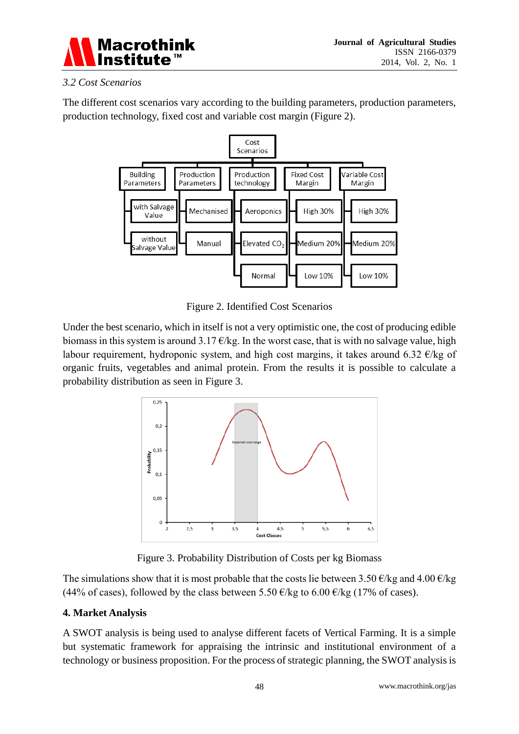

# *3.2 Cost Scenarios*

The different cost scenarios vary according to the building parameters, production parameters, production technology, fixed cost and variable cost margin (Figure 2).



Figure 2. Identified Cost Scenarios

Under the best scenario, which in itself is not a very optimistic one, the cost of producing edible biomass in this system is around  $3.17 \text{ E/kg}$ . In the worst case, that is with no salvage value, high labour requirement, hydroponic system, and high cost margins, it takes around 6.32  $\epsilon$ /kg of organic fruits, vegetables and animal protein. From the results it is possible to calculate a probability distribution as seen in Figure 3.



Figure 3. Probability Distribution of Costs per kg Biomass

The simulations show that it is most probable that the costs lie between 3.50  $\epsilon$ /kg and 4.00  $\epsilon$ /kg (44% of cases), followed by the class between 5.50  $\epsilon$ /kg to 6.00  $\epsilon$ /kg (17% of cases).

# **4. Market Analysis**

A SWOT analysis is being used to analyse different facets of Vertical Farming. It is a simple but systematic framework for appraising the intrinsic and institutional environment of a technology or business proposition. For the process of strategic planning, the SWOT analysis is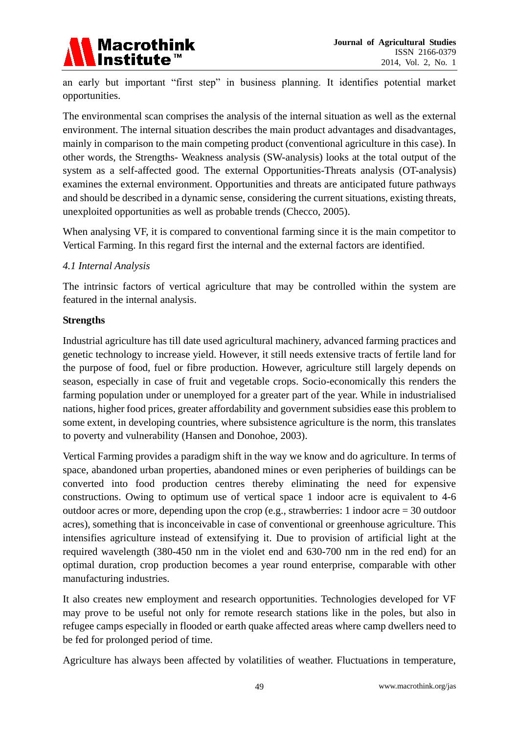

an early but important "first step" in business planning. It identifies potential market opportunities.

The environmental scan comprises the analysis of the internal situation as well as the external environment. The internal situation describes the main product advantages and disadvantages, mainly in comparison to the main competing product (conventional agriculture in this case). In other words, the Strengths- Weakness analysis (SW-analysis) looks at the total output of the system as a self-affected good. The external Opportunities-Threats analysis (OT-analysis) examines the external environment. Opportunities and threats are anticipated future pathways and should be described in a dynamic sense, considering the current situations, existing threats, unexploited opportunities as well as probable trends (Checco, 2005).

When analysing VF, it is compared to conventional farming since it is the main competitor to Vertical Farming. In this regard first the internal and the external factors are identified.

# *4.1 Internal Analysis*

The intrinsic factors of vertical agriculture that may be controlled within the system are featured in the internal analysis.

#### **Strengths**

Industrial agriculture has till date used agricultural machinery, advanced farming practices and genetic technology to increase yield. However, it still needs extensive tracts of fertile land for the purpose of food, fuel or fibre production. However, agriculture still largely depends on season, especially in case of fruit and vegetable crops. Socio-economically this renders the farming population under or unemployed for a greater part of the year. While in industrialised nations, higher food prices, greater affordability and government subsidies ease this problem to some extent, in developing countries, where subsistence agriculture is the norm, this translates to poverty and vulnerability (Hansen and Donohoe, 2003).

Vertical Farming provides a paradigm shift in the way we know and do agriculture. In terms of space, abandoned urban properties, abandoned mines or even peripheries of buildings can be converted into food production centres thereby eliminating the need for expensive constructions. Owing to optimum use of vertical space 1 indoor acre is equivalent to 4-6 outdoor acres or more, depending upon the crop (e.g., strawberries: 1 indoor acre = 30 outdoor acres), something that is inconceivable in case of conventional or greenhouse agriculture. This intensifies agriculture instead of extensifying it. Due to provision of artificial light at the required wavelength (380-450 nm in the violet end and 630-700 nm in the red end) for an optimal duration, crop production becomes a year round enterprise, comparable with other manufacturing industries.

It also creates new employment and research opportunities. Technologies developed for VF may prove to be useful not only for remote research stations like in the poles, but also in refugee camps especially in flooded or earth quake affected areas where camp dwellers need to be fed for prolonged period of time.

Agriculture has always been affected by volatilities of weather. Fluctuations in temperature,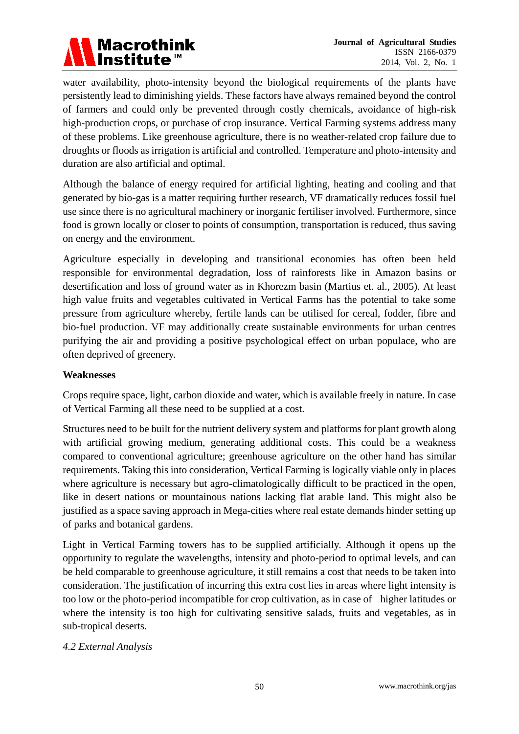

water availability, photo-intensity beyond the biological requirements of the plants have persistently lead to diminishing yields. These factors have always remained beyond the control of farmers and could only be prevented through costly chemicals, avoidance of high-risk high-production crops, or purchase of crop insurance. Vertical Farming systems address many of these problems. Like greenhouse agriculture, there is no weather-related crop failure due to droughts or floods as irrigation is artificial and controlled. Temperature and photo-intensity and duration are also artificial and optimal.

Although the balance of energy required for artificial lighting, heating and cooling and that generated by bio-gas is a matter requiring further research, VF dramatically reduces fossil fuel use since there is no agricultural machinery or inorganic fertiliser involved. Furthermore, since food is grown locally or closer to points of consumption, transportation is reduced, thus saving on energy and the environment.

Agriculture especially in developing and transitional economies has often been held responsible for environmental degradation, loss of rainforests like in Amazon basins or desertification and loss of ground water as in Khorezm basin (Martius et. al., 2005). At least high value fruits and vegetables cultivated in Vertical Farms has the potential to take some pressure from agriculture whereby, fertile lands can be utilised for cereal, fodder, fibre and bio-fuel production. VF may additionally create sustainable environments for urban centres purifying the air and providing a positive psychological effect on urban populace, who are often deprived of greenery.

#### **Weaknesses**

Crops require space, light, carbon dioxide and water, which is available freely in nature. In case of Vertical Farming all these need to be supplied at a cost.

Structures need to be built for the nutrient delivery system and platforms for plant growth along with artificial growing medium, generating additional costs. This could be a weakness compared to conventional agriculture; greenhouse agriculture on the other hand has similar requirements. Taking this into consideration, Vertical Farming is logically viable only in places where agriculture is necessary but agro-climatologically difficult to be practiced in the open, like in desert nations or mountainous nations lacking flat arable land. This might also be justified as a space saving approach in Mega-cities where real estate demands hinder setting up of parks and botanical gardens.

Light in Vertical Farming towers has to be supplied artificially. Although it opens up the opportunity to regulate the wavelengths, intensity and photo-period to optimal levels, and can be held comparable to greenhouse agriculture, it still remains a cost that needs to be taken into consideration. The justification of incurring this extra cost lies in areas where light intensity is too low or the photo-period incompatible for crop cultivation, as in case of higher latitudes or where the intensity is too high for cultivating sensitive salads, fruits and vegetables, as in sub-tropical deserts.

# *4.2 External Analysis*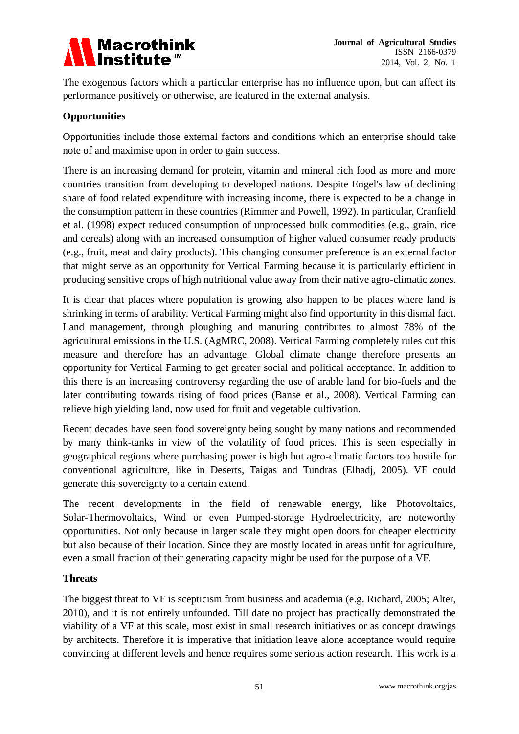

The exogenous factors which a particular enterprise has no influence upon, but can affect its performance positively or otherwise, are featured in the external analysis.

# **Opportunities**

Opportunities include those external factors and conditions which an enterprise should take note of and maximise upon in order to gain success.

There is an increasing demand for protein, vitamin and mineral rich food as more and more countries transition from developing to developed nations. Despite Engel's law of declining share of food related expenditure with increasing income, there is expected to be a change in the consumption pattern in these countries (Rimmer and Powell, 1992). In particular, Cranfield et al. (1998) expect reduced consumption of unprocessed bulk commodities (e.g., grain, rice and cereals) along with an increased consumption of higher valued consumer ready products (e.g., fruit, meat and dairy products). This changing consumer preference is an external factor that might serve as an opportunity for Vertical Farming because it is particularly efficient in producing sensitive crops of high nutritional value away from their native agro-climatic zones.

It is clear that places where population is growing also happen to be places where land is shrinking in terms of arability. Vertical Farming might also find opportunity in this dismal fact. Land management, through ploughing and manuring contributes to almost 78% of the agricultural emissions in the U.S. (AgMRC, 2008). Vertical Farming completely rules out this measure and therefore has an advantage. Global climate change therefore presents an opportunity for Vertical Farming to get greater social and political acceptance. In addition to this there is an increasing controversy regarding the use of arable land for bio-fuels and the later contributing towards rising of food prices (Banse et al., 2008). Vertical Farming can relieve high yielding land, now used for fruit and vegetable cultivation.

Recent decades have seen food sovereignty being sought by many nations and recommended by many think-tanks in view of the volatility of food prices. This is seen especially in geographical regions where purchasing power is high but agro-climatic factors too hostile for conventional agriculture, like in Deserts, Taigas and Tundras (Elhadj, 2005). VF could generate this sovereignty to a certain extend.

The recent developments in the field of renewable energy, like Photovoltaics, Solar-Thermovoltaics, Wind or even Pumped-storage Hydroelectricity, are noteworthy opportunities. Not only because in larger scale they might open doors for cheaper electricity but also because of their location. Since they are mostly located in areas unfit for agriculture, even a small fraction of their generating capacity might be used for the purpose of a VF.

# **Threats**

The biggest threat to VF is scepticism from business and academia (e.g. Richard, 2005; Alter, 2010), and it is not entirely unfounded. Till date no project has practically demonstrated the viability of a VF at this scale, most exist in small research initiatives or as concept drawings by architects. Therefore it is imperative that initiation leave alone acceptance would require convincing at different levels and hence requires some serious action research. This work is a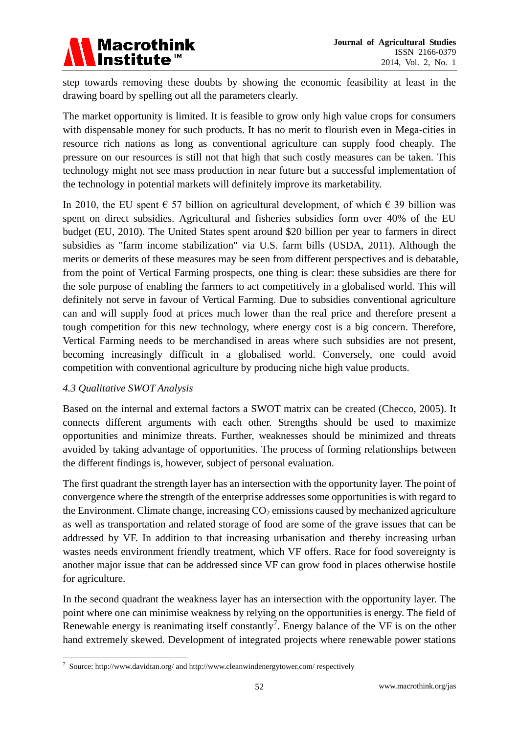

step towards removing these doubts by showing the economic feasibility at least in the drawing board by spelling out all the parameters clearly.

The market opportunity is limited. It is feasible to grow only high value crops for consumers with dispensable money for such products. It has no merit to flourish even in Mega-cities in resource rich nations as long as conventional agriculture can supply food cheaply. The pressure on our resources is still not that high that such costly measures can be taken. This technology might not see mass production in near future but a successful implementation of the technology in potential markets will definitely improve its marketability.

In 2010, the EU spent  $\epsilon$  57 billion on agricultural development, of which  $\epsilon$  39 billion was spent on direct subsidies. Agricultural and fisheries subsidies form over 40% of the EU budget (EU, 2010). The United States spent around \$20 billion per year to farmers in direct subsidies as "farm income stabilization" via U.S. farm bills (USDA, 2011). Although the merits or demerits of these measures may be seen from different perspectives and is debatable, from the point of Vertical Farming prospects, one thing is clear: these subsidies are there for the sole purpose of enabling the farmers to act competitively in a globalised world. This will definitely not serve in favour of Vertical Farming. Due to subsidies conventional agriculture can and will supply food at prices much lower than the real price and therefore present a tough competition for this new technology, where energy cost is a big concern. Therefore, Vertical Farming needs to be merchandised in areas where such subsidies are not present, becoming increasingly difficult in a globalised world. Conversely, one could avoid competition with conventional agriculture by producing niche high value products.

# *4.3 Qualitative SWOT Analysis*

Based on the internal and external factors a SWOT matrix can be created (Checco, 2005). It connects different arguments with each other. Strengths should be used to maximize opportunities and minimize threats. Further, weaknesses should be minimized and threats avoided by taking advantage of opportunities. The process of forming relationships between the different findings is, however, subject of personal evaluation.

The first quadrant the strength layer has an intersection with the opportunity layer. The point of convergence where the strength of the enterprise addresses some opportunities is with regard to the Environment. Climate change, increasing  $CO<sub>2</sub>$  emissions caused by mechanized agriculture as well as transportation and related storage of food are some of the grave issues that can be addressed by VF. In addition to that increasing urbanisation and thereby increasing urban wastes needs environment friendly treatment, which VF offers. Race for food sovereignty is another major issue that can be addressed since VF can grow food in places otherwise hostile for agriculture.

In the second quadrant the weakness layer has an intersection with the opportunity layer. The point where one can minimise weakness by relying on the opportunities is energy. The field of Renewable energy is reanimating itself constantly<sup>7</sup>. Energy balance of the VF is on the other hand extremely skewed. Development of integrated projects where renewable power stations

 7 Source: http://www.davidtan.org/ and http://www.cleanwindenergytower.com/ respectively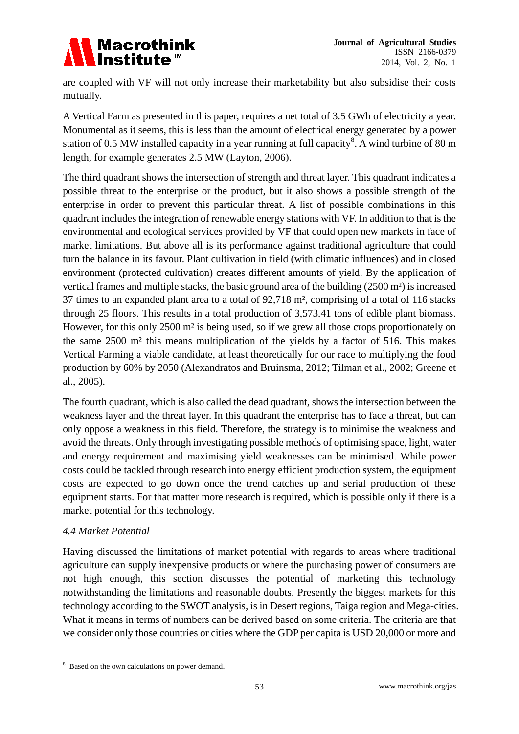

are coupled with VF will not only increase their marketability but also subsidise their costs mutually.

A Vertical Farm as presented in this paper, requires a net total of 3.5 GWh of electricity a year. Monumental as it seems, this is less than the amount of electrical energy generated by a power station of 0.5 MW installed capacity in a year running at full capacity<sup>8</sup>. A wind turbine of 80 m length, for example generates 2.5 MW (Layton, 2006).

The third quadrant shows the intersection of strength and threat layer. This quadrant indicates a possible threat to the enterprise or the product, but it also shows a possible strength of the enterprise in order to prevent this particular threat. A list of possible combinations in this quadrant includes the integration of renewable energy stations with VF. In addition to that is the environmental and ecological services provided by VF that could open new markets in face of market limitations. But above all is its performance against traditional agriculture that could turn the balance in its favour. Plant cultivation in field (with climatic influences) and in closed environment (protected cultivation) creates different amounts of yield. By the application of vertical frames and multiple stacks, the basic ground area of the building  $(2500 \text{ m } 3)$  is increased 37 times to an expanded plant area to a total of 92,718 m², comprising of a total of 116 stacks through 25 floors. This results in a total production of 3,573.41 tons of edible plant biomass. However, for this only 2500 m<sup>2</sup> is being used, so if we grew all those crops proportionately on the same 2500 m² this means multiplication of the yields by a factor of 516. This makes Vertical Farming a viable candidate, at least theoretically for our race to multiplying the food production by 60% by 2050 (Alexandratos and Bruinsma, 2012; Tilman et al., 2002; Greene et al., 2005).

The fourth quadrant, which is also called the dead quadrant, shows the intersection between the weakness layer and the threat layer. In this quadrant the enterprise has to face a threat, but can only oppose a weakness in this field. Therefore, the strategy is to minimise the weakness and avoid the threats. Only through investigating possible methods of optimising space, light, water and energy requirement and maximising yield weaknesses can be minimised. While power costs could be tackled through research into energy efficient production system, the equipment costs are expected to go down once the trend catches up and serial production of these equipment starts. For that matter more research is required, which is possible only if there is a market potential for this technology.

# *4.4 Market Potential*

Having discussed the limitations of market potential with regards to areas where traditional agriculture can supply inexpensive products or where the purchasing power of consumers are not high enough, this section discusses the potential of marketing this technology notwithstanding the limitations and reasonable doubts. Presently the biggest markets for this technology according to the SWOT analysis, is in Desert regions, Taiga region and Mega-cities. What it means in terms of numbers can be derived based on some criteria. The criteria are that we consider only those countries or cities where the GDP per capita is USD 20,000 or more and

<sup>&</sup>lt;u>.</u> <sup>8</sup> Based on the own calculations on power demand.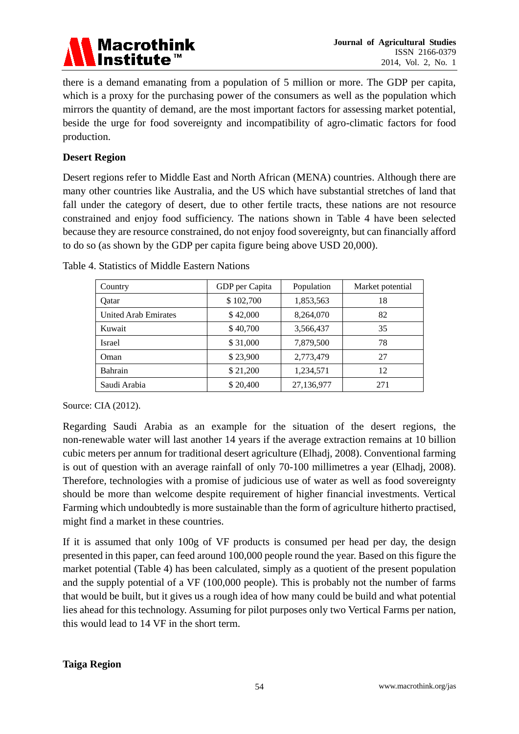

there is a demand emanating from a population of 5 million or more. The GDP per capita, which is a proxy for the purchasing power of the consumers as well as the population which mirrors the quantity of demand, are the most important factors for assessing market potential, beside the urge for food sovereignty and incompatibility of agro-climatic factors for food production.

### **Desert Region**

Desert regions refer to Middle East and North African (MENA) countries. Although there are many other countries like Australia, and the US which have substantial stretches of land that fall under the category of desert, due to other fertile tracts, these nations are not resource constrained and enjoy food sufficiency. The nations shown in Table 4 have been selected because they are resource constrained, do not enjoy food sovereignty, but can financially afford to do so (as shown by the GDP per capita figure being above USD 20,000).

| Country                     | GDP per Capita | Population | Market potential |
|-----------------------------|----------------|------------|------------------|
| Oatar                       | \$102,700      | 1,853,563  | 18               |
| <b>United Arab Emirates</b> | \$42,000       | 8,264,070  | 82               |
| Kuwait                      | \$40,700       | 3,566,437  | 35               |
| Israel                      | \$31,000       | 7,879,500  | 78               |
| Oman                        | \$23,900       | 2,773,479  | 27               |
| Bahrain                     | \$21,200       | 1,234,571  | 12               |
| Saudi Arabia                | \$20,400       | 27,136,977 | 271              |

Table 4. Statistics of Middle Eastern Nations

Source: CIA (2012).

Regarding Saudi Arabia as an example for the situation of the desert regions, the non-renewable water will last another 14 years if the average extraction remains at 10 billion cubic meters per annum for traditional desert agriculture (Elhadj, 2008). Conventional farming is out of question with an average rainfall of only 70-100 millimetres a year (Elhadj, 2008). Therefore, technologies with a promise of judicious use of water as well as food sovereignty should be more than welcome despite requirement of higher financial investments. Vertical Farming which undoubtedly is more sustainable than the form of agriculture hitherto practised, might find a market in these countries.

If it is assumed that only 100g of VF products is consumed per head per day, the design presented in this paper, can feed around 100,000 people round the year. Based on this figure the market potential (Table 4) has been calculated, simply as a quotient of the present population and the supply potential of a VF (100,000 people). This is probably not the number of farms that would be built, but it gives us a rough idea of how many could be build and what potential lies ahead for this technology. Assuming for pilot purposes only two Vertical Farms per nation, this would lead to 14 VF in the short term.

# **Taiga Region**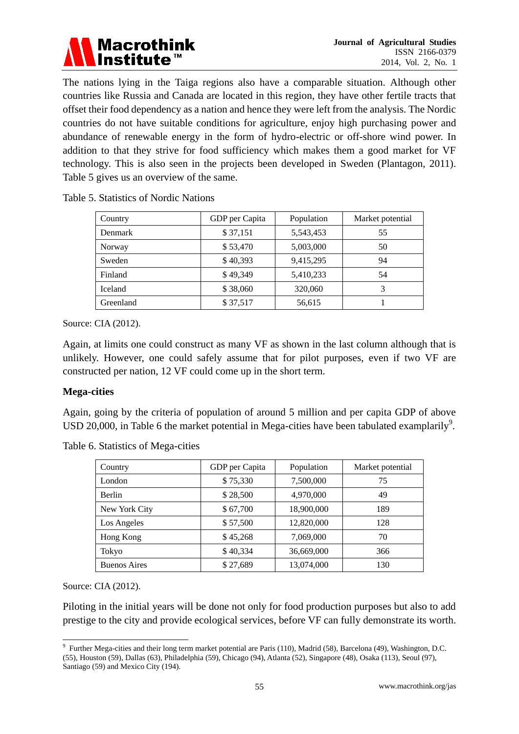

The nations lying in the Taiga regions also have a comparable situation. Although other countries like Russia and Canada are located in this region, they have other fertile tracts that offset their food dependency as a nation and hence they were left from the analysis. The Nordic countries do not have suitable conditions for agriculture, enjoy high purchasing power and abundance of renewable energy in the form of hydro-electric or off-shore wind power. In addition to that they strive for food sufficiency which makes them a good market for VF technology. This is also seen in the projects been developed in Sweden (Plantagon, 2011). Table 5 gives us an overview of the same.

| Country        | GDP per Capita | Population | Market potential |
|----------------|----------------|------------|------------------|
| <b>Denmark</b> | \$37,151       | 5,543,453  | 55               |
| Norway         | \$53,470       | 5,003,000  | 50               |
| Sweden         | \$40,393       | 9,415,295  | 94               |
| Finland        | \$49,349       | 5,410,233  | 54               |
| <b>Iceland</b> | \$38,060       | 320,060    | 3                |
| Greenland      | \$37,517       | 56,615     |                  |

Table 5. Statistics of Nordic Nations

Source: CIA (2012).

Again, at limits one could construct as many VF as shown in the last column although that is unlikely. However, one could safely assume that for pilot purposes, even if two VF are constructed per nation, 12 VF could come up in the short term.

# **Mega-cities**

Again, going by the criteria of population of around 5 million and per capita GDP of above USD 20,000, in Table 6 the market potential in Mega-cities have been tabulated examplarily<sup>9</sup>.

Table 6. Statistics of Mega-cities

| Country             | GDP per Capita | Population | Market potential |
|---------------------|----------------|------------|------------------|
| London              | \$75,330       | 7,500,000  | 75               |
| Berlin              | \$28,500       | 4,970,000  | 49               |
| New York City       | \$67,700       | 18,900,000 | 189              |
| Los Angeles         | \$57,500       | 12,820,000 | 128              |
| Hong Kong           | \$45,268       | 7,069,000  | 70               |
| Tokyo               | \$40,334       | 36,669,000 | 366              |
| <b>Buenos Aires</b> | \$27,689       | 13,074,000 | 130              |

Source: CIA (2012).

Piloting in the initial years will be done not only for food production purposes but also to add prestige to the city and provide ecological services, before VF can fully demonstrate its worth.

 9 Further Mega-cities and their long term market potential are Paris (110), Madrid (58), Barcelona (49), Washington, D.C. (55), Houston (59), Dallas (63), Philadelphia (59), Chicago (94), Atlanta (52), Singapore (48), Osaka (113), Seoul (97), Santiago (59) and Mexico City (194).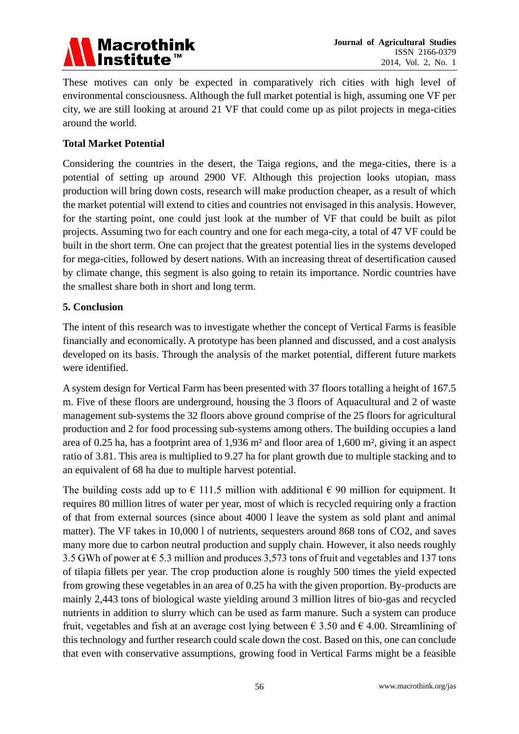

These motives can only be expected in comparatively rich cities with high level of environmental consciousness. Although the full market potential is high, assuming one VF per city, we are still looking at around 21 VF that could come up as pilot projects in mega-cities around the world.

# **Total Market Potential**

Considering the countries in the desert, the Taiga regions, and the mega-cities, there is a potential of setting up around 2900 VF. Although this projection looks utopian, mass production will bring down costs, research will make production cheaper, as a result of which the market potential will extend to cities and countries not envisaged in this analysis. However, for the starting point, one could just look at the number of VF that could be built as pilot projects. Assuming two for each country and one for each mega-city, a total of 47 VF could be built in the short term. One can project that the greatest potential lies in the systems developed for mega-cities, followed by desert nations. With an increasing threat of desertification caused by climate change, this segment is also going to retain its importance. Nordic countries have the smallest share both in short and long term.

#### **5. Conclusion**

The intent of this research was to investigate whether the concept of Vertical Farms is feasible financially and economically. A prototype has been planned and discussed, and a cost analysis developed on its basis. Through the analysis of the market potential, different future markets were identified.

A system design for Vertical Farm has been presented with 37 floors totalling a height of 167.5 m. Five of these floors are underground, housing the 3 floors of Aquacultural and 2 of waste management sub-systems the 32 floors above ground comprise of the 25 floors for agricultural production and 2 for food processing sub-systems among others. The building occupies a land area of 0.25 ha, has a footprint area of 1,936 m² and floor area of 1,600 m², giving it an aspect ratio of 3.81. This area is multiplied to 9.27 ha for plant growth due to multiple stacking and to an equivalent of 68 ha due to multiple harvest potential.

The building costs add up to  $\epsilon$  111.5 million with additional  $\epsilon$  90 million for equipment. It requires 80 million litres of water per year, most of which is recycled requiring only a fraction of that from external sources (since about 4000 l leave the system as sold plant and animal matter). The VF takes in 10,000 l of nutrients, sequesters around 868 tons of CO2, and saves many more due to carbon neutral production and supply chain. However, it also needs roughly 3.5 GWh of power at  $\epsilon$  5.3 million and produces 3,573 tons of fruit and vegetables and 137 tons of tilapia fillets per year. The crop production alone is roughly 500 times the yield expected from growing these vegetables in an area of 0.25 ha with the given proportion. By-products are mainly 2,443 tons of biological waste yielding around 3 million litres of bio-gas and recycled nutrients in addition to slurry which can be used as farm manure. Such a system can produce fruit, vegetables and fish at an average cost lying between  $\epsilon$  3.50 and  $\epsilon$  4.00. Streamlining of this technology and further research could scale down the cost. Based on this, one can conclude that even with conservative assumptions, growing food in Vertical Farms might be a feasible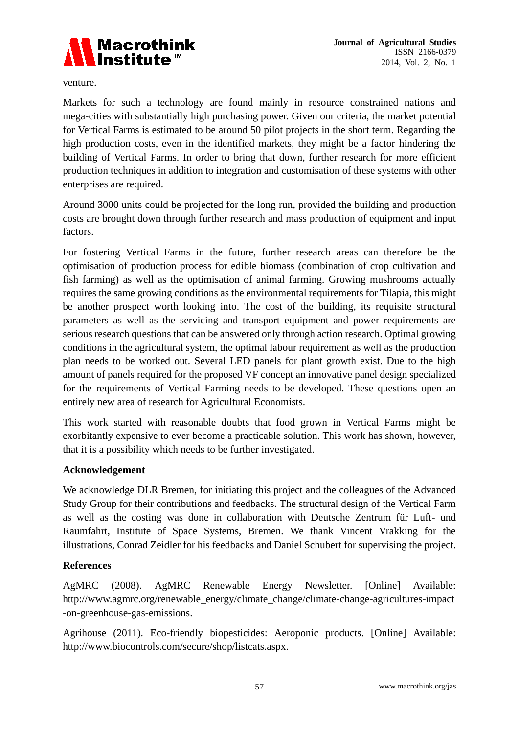

venture.

Markets for such a technology are found mainly in resource constrained nations and mega-cities with substantially high purchasing power. Given our criteria, the market potential for Vertical Farms is estimated to be around 50 pilot projects in the short term. Regarding the high production costs, even in the identified markets, they might be a factor hindering the building of Vertical Farms. In order to bring that down, further research for more efficient production techniques in addition to integration and customisation of these systems with other enterprises are required.

Around 3000 units could be projected for the long run, provided the building and production costs are brought down through further research and mass production of equipment and input factors.

For fostering Vertical Farms in the future, further research areas can therefore be the optimisation of production process for edible biomass (combination of crop cultivation and fish farming) as well as the optimisation of animal farming. Growing mushrooms actually requires the same growing conditions as the environmental requirements for Tilapia, this might be another prospect worth looking into. The cost of the building, its requisite structural parameters as well as the servicing and transport equipment and power requirements are serious research questions that can be answered only through action research. Optimal growing conditions in the agricultural system, the optimal labour requirement as well as the production plan needs to be worked out. Several LED panels for plant growth exist. Due to the high amount of panels required for the proposed VF concept an innovative panel design specialized for the requirements of Vertical Farming needs to be developed. These questions open an entirely new area of research for Agricultural Economists.

This work started with reasonable doubts that food grown in Vertical Farms might be exorbitantly expensive to ever become a practicable solution. This work has shown, however, that it is a possibility which needs to be further investigated.

#### **Acknowledgement**

We acknowledge DLR Bremen, for initiating this project and the colleagues of the Advanced Study Group for their contributions and feedbacks. The structural design of the Vertical Farm as well as the costing was done in collaboration with Deutsche Zentrum für Luft- und Raumfahrt, Institute of Space Systems, Bremen. We thank Vincent Vrakking for the illustrations, Conrad Zeidler for his feedbacks and Daniel Schubert for supervising the project.

# **References**

AgMRC (2008). AgMRC Renewable Energy Newsletter. [Online] Available: http://www.agmrc.org/renewable\_energy/climate\_change/climate-change-agricultures-impact -on-greenhouse-gas-emissions.

Agrihouse (2011). Eco-friendly biopesticides: Aeroponic products. [Online] Available: http://www.biocontrols.com/secure/shop/listcats.aspx.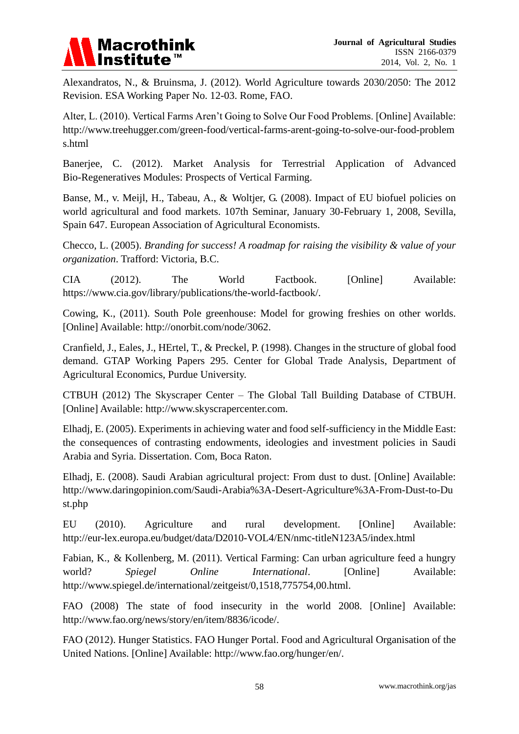

Alexandratos, N., & Bruinsma, J. (2012). World Agriculture towards 2030/2050: The 2012 Revision. ESA Working Paper No. 12-03. Rome, FAO.

Alter, L. (2010). Vertical Farms Aren't Going to Solve Our Food Problems. [Online] Available: http://www.treehugger.com/green-food/vertical-farms-arent-going-to-solve-our-food-problem s.html

Banerjee, C. (2012). Market Analysis for Terrestrial Application of Advanced Bio-Regeneratives Modules: Prospects of Vertical Farming.

Banse, M., v. Meijl, H., Tabeau, A., & Woltjer, G. (2008). Impact of EU biofuel policies on world agricultural and food markets. 107th Seminar, January 30-February 1, 2008, Sevilla, Spain 647. European Association of Agricultural Economists.

Checco, L. (2005). *Branding for success! A roadmap for raising the visibility & value of your organization*. Trafford: Victoria, B.C.

CIA (2012). The World Factbook. [Online] Available: https://www.cia.gov/library/publications/the-world-factbook/.

Cowing, K., (2011). South Pole greenhouse: Model for growing freshies on other worlds. [Online] Available: http://onorbit.com/node/3062.

Cranfield, J., Eales, J., HErtel, T., & Preckel, P. (1998). Changes in the structure of global food demand. GTAP Working Papers 295. Center for Global Trade Analysis, Department of Agricultural Economics, Purdue University.

CTBUH (2012) The Skyscraper Center – The Global Tall Building Database of CTBUH. [Online] Available: http://www.skyscrapercenter.com.

Elhadj, E. (2005). Experiments in achieving water and food self-sufficiency in the Middle East: the consequences of contrasting endowments, ideologies and investment policies in Saudi Arabia and Syria. Dissertation. Com, Boca Raton.

Elhadj, E. (2008). Saudi Arabian agricultural project: From dust to dust. [Online] Available: http://www.daringopinion.com/Saudi-Arabia%3A-Desert-Agriculture%3A-From-Dust-to-Du st.php

EU (2010). Agriculture and rural development. [Online] Available: http://eur-lex.europa.eu/budget/data/D2010-VOL4/EN/nmc-titleN123A5/index.html

Fabian, K., & Kollenberg, M. (2011). Vertical Farming: Can urban agriculture feed a hungry world? *Spiegel Online International*. [Online] Available: http://www.spiegel.de/international/zeitgeist/0,1518,775754,00.html.

FAO (2008) The state of food insecurity in the world 2008. [Online] Available: http://www.fao.org/news/story/en/item/8836/icode/.

FAO (2012). Hunger Statistics. FAO Hunger Portal. Food and Agricultural Organisation of the United Nations. [Online] Available: http://www.fao.org/hunger/en/.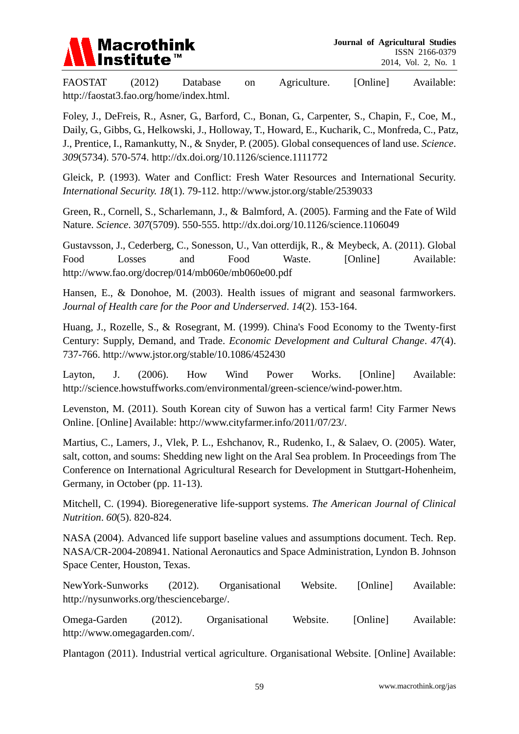

FAOSTAT (2012) Database on Agriculture. [Online] Available: http://faostat3.fao.org/home/index.html.

Foley, J., DeFreis, R., Asner, G., Barford, C., Bonan, G., Carpenter, S., Chapin, F., Coe, M., Daily, G., Gibbs, G., Helkowski, J., Holloway, T., Howard, E., Kucharik, C., Monfreda, C., Patz, J., Prentice, I., Ramankutty, N., & Snyder, P. (2005). Global consequences of land use. *Science*. *309*(5734). 570-574. http://dx.doi.org/10.1126/science.1111772

Gleick, P. (1993). Water and Conflict: Fresh Water Resources and International Security. *International Security. 18*(1). 79-112. http://www.jstor.org/stable/2539033

Green, R., Cornell, S., Scharlemann, J., & Balmford, A. (2005). Farming and the Fate of Wild Nature. *Science*. 3*07*(5709). 550-555. http://dx.doi.org/10.1126/science.1106049

Gustavsson, J., Cederberg, C., Sonesson, U., Van otterdijk, R., & Meybeck, A. (2011). Global Food Losses and Food Waste. [Online] Available: http://www.fao.org/docrep/014/mb060e/mb060e00.pdf

Hansen, E., & Donohoe, M. (2003). Health issues of migrant and seasonal farmworkers. *Journal of Health care for the Poor and Underserved*. *14*(2). 153-164.

Huang, J., Rozelle, S., & Rosegrant, M. (1999). China's Food Economy to the Twenty-first Century: Supply, Demand, and Trade. *Economic Development and Cultural Change*. *47*(4). 737-766. http://www.jstor.org/stable/10.1086/452430

Layton, J. (2006). How Wind Power Works. [Online] Available: http://science.howstuffworks.com/environmental/green-science/wind-power.htm.

Levenston, M. (2011). South Korean city of Suwon has a vertical farm! City Farmer News Online. [Online] Available: http://www.cityfarmer.info/2011/07/23/.

Martius, C., Lamers, J., Vlek, P. L., Eshchanov, R., Rudenko, I., & Salaev, O. (2005). Water, salt, cotton, and soums: Shedding new light on the Aral Sea problem. In Proceedings from The Conference on International Agricultural Research for Development in Stuttgart-Hohenheim, Germany, in October (pp. 11-13).

Mitchell, C. (1994). Bioregenerative life-support systems. *The American Journal of Clinical Nutrition*. *60*(5). 820-824.

NASA (2004). Advanced life support baseline values and assumptions document. Tech. Rep. NASA/CR-2004-208941. National Aeronautics and Space Administration, Lyndon B. Johnson Space Center, Houston, Texas.

NewYork-Sunworks (2012). Organisational Website. [Online] Available: http://nysunworks.org/thesciencebarge/.

Omega-Garden (2012). Organisational Website. [Online] Available: http://www.omegagarden.com/.

Plantagon (2011). Industrial vertical agriculture. Organisational Website. [Online] Available: